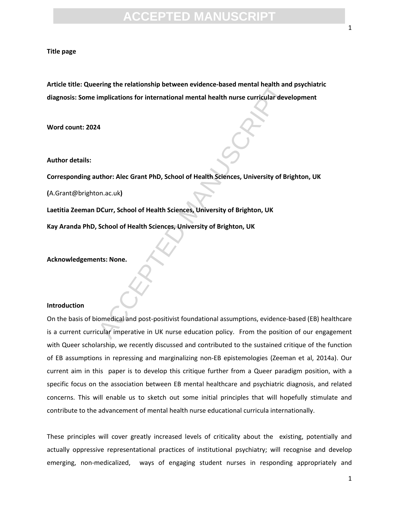### **CCEPTED MANUS**

#### **Title page**

**Article title: Queering the relationship between evidence-based mental health and psychiatric diagnosis: Some implications for international mental health nurse curricular development** 

**Word count: 2024**

#### **Author details:**

**Corresponding author: Alec Grant PhD, School of Health Sciences, University of Brighton, UK** 

**(**A.Grant@brighton.ac.uk**)**

**Laetitia Zeeman DCurr, School of Health Sciences, University of Brighton, UK**

**Kay Aranda PhD, School of Health Sciences, University of Brighton, UK**

**Acknowledgements: None.**

#### **Introduction**

ring the relationship between evidence-based mental health and<br>implications for international mental health nurse curricular deve<br>4<br>4<br>ACCEPTED MANUSCRIPT MANUSCRIPT MANUSCRIP OF BRIDGEN DRUG MANUSCRIP<br>DOCUIT, School of Hea On the basis of biomedical and post-positivist foundational assumptions, evidence-based (EB) healthcare is a current curricular imperative in UK nurse education policy. From the position of our engagement with Queer scholarship, we recently discussed and contributed to the sustained critique of the function of EB assumptions in repressing and marginalizing non-EB epistemologies (Zeeman et al, 2014a). Our current aim in this paper is to develop this critique further from a Queer paradigm position, with a specific focus on the association between EB mental healthcare and psychiatric diagnosis, and related concerns. This will enable us to sketch out some initial principles that will hopefully stimulate and contribute to the advancement of mental health nurse educational curricula internationally.

These principles will cover greatly increased levels of criticality about the existing, potentially and actually oppressive representational practices of institutional psychiatry; will recognise and develop emerging, non-medicalized, ways of engaging student nurses in responding appropriately and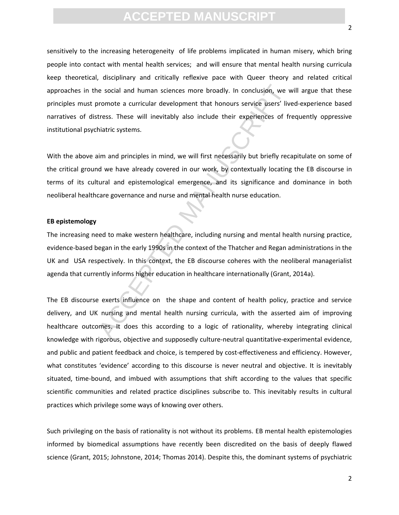ie social and human sciences more broadly. In conclusion, we w<br>promote a curricular development that honours service users' live<br>tress. These will inevitably also include their experiences of fr<br>hiatric systems.<br>aim and pr sensitively to the increasing heterogeneity of life problems implicated in human misery, which bring people into contact with mental health services; and will ensure that mental health nursing curricula keep theoretical, disciplinary and critically reflexive pace with Queer theory and related critical approaches in the social and human sciences more broadly. In conclusion, we will argue that these principles must promote a curricular development that honours service users' lived-experience based narratives of distress. These will inevitably also include their experiences of frequently oppressive institutional psychiatric systems.

With the above aim and principles in mind, we will first necessarily but briefly recapitulate on some of the critical ground we have already covered in our work, by contextually locating the EB discourse in terms of its cultural and epistemological emergence, and its significance and dominance in both neoliberal healthcare governance and nurse and mental health nurse education.

#### **EB epistemology**

The increasing need to make western healthcare, including nursing and mental health nursing practice, evidence-based began in the early 1990s in the context of the Thatcher and Regan administrations in the UK and USA respectively. In this context, the EB discourse coheres with the neoliberal managerialist agenda that currently informs higher education in healthcare internationally (Grant, 2014a).

The EB discourse exerts influence on the shape and content of health policy, practice and service delivery, and UK nursing and mental health nursing curricula, with the asserted aim of improving healthcare outcomes. It does this according to a logic of rationality, whereby integrating clinical knowledge with rigorous, objective and supposedly culture-neutral quantitative-experimental evidence, and public and patient feedback and choice, is tempered by cost-effectiveness and efficiency. However, what constitutes 'evidence' according to this discourse is never neutral and objective. It is inevitably situated, time-bound, and imbued with assumptions that shift according to the values that specific scientific communities and related practice disciplines subscribe to. This inevitably results in cultural practices which privilege some ways of knowing over others.

Such privileging on the basis of rationality is not without its problems. EB mental health epistemologies informed by biomedical assumptions have recently been discredited on the basis of deeply flawed science (Grant, 2015; Johnstone, 2014; Thomas 2014). Despite this, the dominant systems of psychiatric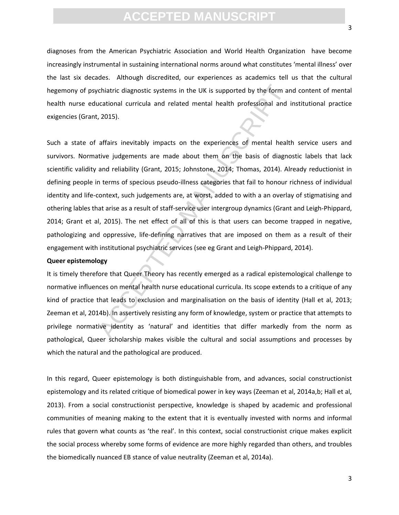diagnoses from the American Psychiatric Association and World Health Organization have become increasingly instrumental in sustaining international norms around what constitutes 'mental illness' over the last six decades. Although discredited, our experiences as academics tell us that the cultural hegemony of psychiatric diagnostic systems in the UK is supported by the form and content of mental health nurse educational curricula and related mental health professional and institutional practice exigencies (Grant, 2015).

chiatric diagnostic systems in the UK is supported by the form an acational curricula and related mental health professional and i<br>
2015).<br>
affairs inevitably impacts on the experiences of mental healt<br>
thive judgements ar Such a state of affairs inevitably impacts on the experiences of mental health service users and survivors. Normative judgements are made about them on the basis of diagnostic labels that lack scientific validity and reliability (Grant, 2015; Johnstone, 2014; Thomas, 2014). Already reductionist in defining people in terms of specious pseudo-illness categories that fail to honour richness of individual identity and life-context, such judgements are, at worst, added to with a an overlay of stigmatising and othering lables that arise as a result of staff-service user intergroup dynamics (Grant and Leigh-Phippard, 2014; Grant et al, 2015). The net effect of all of this is that users can become trapped in negative, pathologizing and oppressive, life-defining narratives that are imposed on them as a result of their engagement with institutional psychiatric services (see eg Grant and Leigh-Phippard, 2014).

### **Queer epistemology**

It is timely therefore that Queer Theory has recently emerged as a radical epistemological challenge to normative influences on mental health nurse educational curricula. Its scope extends to a critique of any kind of practice that leads to exclusion and marginalisation on the basis of identity (Hall et al, 2013; Zeeman et al, 2014b). In assertively resisting any form of knowledge, system or practice that attempts to privilege normative identity as 'natural' and identities that differ markedly from the norm as pathological, Queer scholarship makes visible the cultural and social assumptions and processes by which the natural and the pathological are produced.

In this regard, Queer epistemology is both distinguishable from, and advances, social constructionist epistemology and its related critique of biomedical power in key ways (Zeeman et al, 2014a,b; Hall et al, 2013). From a social constructionist perspective, knowledge is shaped by academic and professional communities of meaning making to the extent that it is eventually invested with norms and informal rules that govern what counts as 'the real'. In this context, social constructionist crique makes explicit the social process whereby some forms of evidence are more highly regarded than others, and troubles the biomedically nuanced EB stance of value neutrality (Zeeman et al, 2014a).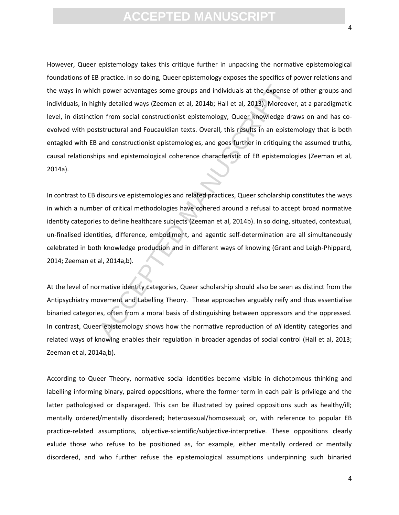In power advantages some groups and individuals at the expense<br>thly detailed ways (Zeeman et al, 2014b; Hall et al, 2013). Moreov<br>on from social constructionist epistemology, Queer knowledge di<br>tstructural and Foucauldian However, Queer epistemology takes this critique further in unpacking the normative epistemological foundations of EB practice. In so doing, Queer epistemology exposes the specifics of power relations and the ways in which power advantages some groups and individuals at the expense of other groups and individuals, in highly detailed ways (Zeeman et al, 2014b; Hall et al, 2013). Moreover, at a paradigmatic level, in distinction from social constructionist epistemology, Queer knowledge draws on and has coevolved with poststructural and Foucauldian texts. Overall, this results in an epistemology that is both entagled with EB and constructionist epistemologies, and goes further in critiquing the assumed truths, causal relationships and epistemological coherence characteristic of EB epistemologies (Zeeman et al, 2014a).

In contrast to EB discursive epistemologies and related practices, Queer scholarship constitutes the ways in which a number of critical methodologies have cohered around a refusal to accept broad normative identity categories to define healthcare subjects (Zeeman et al, 2014b). In so doing, situated, contextual, un-finalised identities, difference, embodiment, and agentic self-determination are all simultaneously celebrated in both knowledge production and in different ways of knowing (Grant and Leigh-Phippard, 2014; Zeeman et al, 2014a,b).

At the level of normative identity categories, Queer scholarship should also be seen as distinct from the Antipsychiatry movement and Labelling Theory. These approaches arguably reify and thus essentialise binaried categories, often from a moral basis of distinguishing between oppressors and the oppressed. In contrast, Queer epistemology shows how the normative reproduction of *all* identity categories and related ways of knowing enables their regulation in broader agendas of social control (Hall et al, 2013; Zeeman et al, 2014a,b).

According to Queer Theory, normative social identities become visible in dichotomous thinking and labelling informing binary, paired oppositions, where the former term in each pair is privilege and the latter pathologised or disparaged. This can be illustrated by paired oppositions such as healthy/ill; mentally ordered/mentally disordered; heterosexual/homosexual; or, with reference to popular EB practice-related assumptions, objective-scientific/subjective-interpretive. These oppositions clearly exlude those who refuse to be positioned as, for example, either mentally ordered or mentally disordered, and who further refuse the epistemological assumptions underpinning such binaried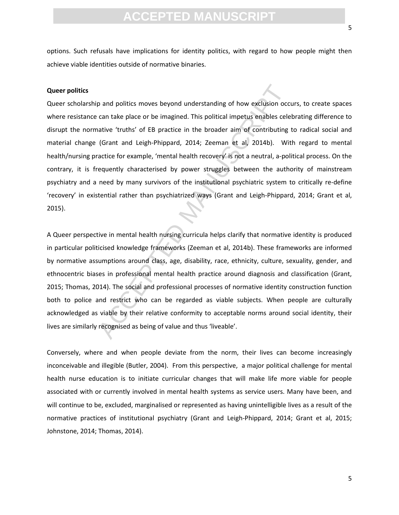options. Such refusals have implications for identity politics, with regard to how people might then achieve viable identities outside of normative binaries.

#### **Queer politics**

p and politics moves beyond understanding of how exclusion occan take place or be imagined. This political impetus enables celeative 'truths' of EB practice in the broader aim of contributing (Grant and Leigh-Phippard, 201 Queer scholarship and politics moves beyond understanding of how exclusion occurs, to create spaces where resistance can take place or be imagined. This political impetus enables celebrating difference to disrupt the normative 'truths' of EB practice in the broader aim of contributing to radical social and material change (Grant and Leigh-Phippard, 2014; Zeeman et al, 2014b). With regard to mental health/nursing practice for example, 'mental health recovery' is not a neutral, a-political process. On the contrary, it is frequently characterised by power struggles between the authority of mainstream psychiatry and a need by many survivors of the institutional psychiatric system to critically re-define 'recovery' in existential rather than psychiatrized ways (Grant and Leigh-Phippard, 2014; Grant et al, 2015).

A Queer perspective in mental health nursing curricula helps clarify that normative identity is produced in particular politicised knowledge frameworks (Zeeman et al, 2014b). These frameworks are informed by normative assumptions around class, age, disability, race, ethnicity, culture, sexuality, gender, and ethnocentric biases in professional mental health practice around diagnosis and classification (Grant, 2015; Thomas, 2014). The social and professional processes of normative identity construction function both to police and restrict who can be regarded as viable subjects. When people are culturally acknowledged as viable by their relative conformity to acceptable norms around social identity, their lives are similarly recognised as being of value and thus 'liveable'.

Conversely, where and when people deviate from the norm, their lives can become increasingly inconceivable and illegible (Butler, 2004). From this perspective, a major political challenge for mental health nurse education is to initiate curricular changes that will make life more viable for people associated with or currently involved in mental health systems as service users. Many have been, and will continue to be, excluded, marginalised or represented as having unintelligible lives as a result of the normative practices of institutional psychiatry (Grant and Leigh-Phippard, 2014; Grant et al, 2015; Johnstone, 2014; Thomas, 2014).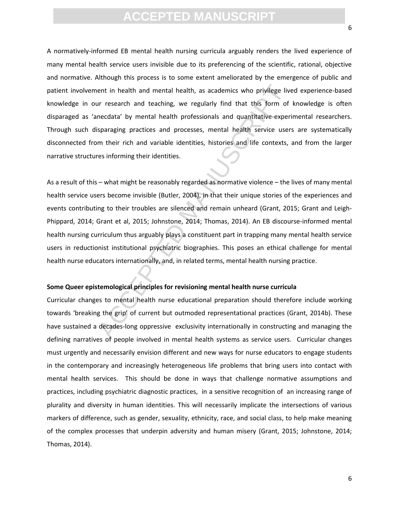A normatively-informed EB mental health nursing curricula arguably renders the lived experience of many mental health service users invisible due to its preferencing of the scientific, rational, objective and normative. Although this process is to some extent ameliorated by the emergence of public and patient involvement in health and mental health, as academics who privilege lived experience-based knowledge in our research and teaching, we regularly find that this form of knowledge is often disparaged as 'anecdata' by mental health professionals and quantitative-experimental researchers. Through such disparaging practices and processes, mental health service users are systematically disconnected from their rich and variable identities, histories and life contexts, and from the larger narrative structures informing their identities.

ent in health and mental health, as academics who privilege live<br>
ur research and teaching, we regularly find that this form of<br>
necdata' by mental health professionals and quantitative-experi<br>
sparaging practices and proc As a result of this – what might be reasonably regarded as normative violence – the lives of many mental health service users become invisible (Butler, 2004), in that their unique stories of the experiences and events contributing to their troubles are silenced and remain unheard (Grant, 2015; Grant and Leigh-Phippard, 2014; Grant et al, 2015; Johnstone, 2014; Thomas, 2014). An EB discourse-informed mental health nursing curriculum thus arguably plays a constituent part in trapping many mental health service users in reductionist institutional psychiatric biographies. This poses an ethical challenge for mental health nurse educators internationally, and, in related terms, mental health nursing practice.

#### **Some Queer epistemological principles for revisioning mental health nurse curricula**

Curricular changes to mental health nurse educational preparation should therefore include working towards 'breaking the grip' of current but outmoded representational practices (Grant, 2014b). These have sustained a decades-long oppressive exclusivity internationally in constructing and managing the defining narratives of people involved in mental health systems as service users. Curricular changes must urgently and necessarily envision different and new ways for nurse educators to engage students in the contemporary and increasingly heterogeneous life problems that bring users into contact with mental health services. This should be done in ways that challenge normative assumptions and practices, including psychiatric diagnostic practices, in a sensitive recognition of an increasing range of plurality and diversity in human identities. This will necessarily implicate the intersections of various markers of difference, such as gender, sexuality, ethnicity, race, and social class, to help make meaning of the complex processes that underpin adversity and human misery (Grant, 2015; Johnstone, 2014; Thomas, 2014).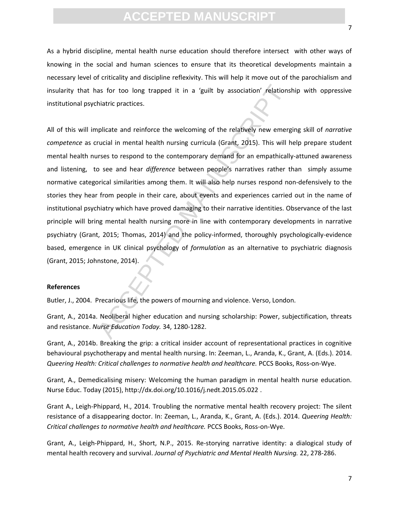### **ACCEPTED MANUS**

As a hybrid discipline, mental health nurse education should therefore intersect with other ways of knowing in the social and human sciences to ensure that its theoretical developments maintain a necessary level of criticality and discipline reflexivity. This will help it move out of the parochialism and insularity that has for too long trapped it in a 'guilt by association' relationship with oppressive institutional psychiatric practices.

as for too long trapped it in a 'guilt by association' relations<br>hiatric practices.<br>hiatric practices.<br>plicate and reinforce the welcoming of the relatively new emergrucial in mental health nursing curricula (Grant, 2015). All of this will implicate and reinforce the welcoming of the relatively new emerging skill of *narrative competence* as crucial in mental health nursing curricula (Grant, 2015). This will help prepare student mental health nurses to respond to the contemporary demand for an empathically-attuned awareness and listening, to see and hear *difference* between people's narratives rather than simply assume normative categorical similarities among them. It will also help nurses respond non-defensively to the stories they hear from people in their care, about events and experiences carried out in the name of institutional psychiatry which have proved damaging to their narrative identities. Observance of the last principle will bring mental health nursing more in line with contemporary developments in narrative psychiatry (Grant, 2015; Thomas, 2014) and the policy-informed, thoroughly psychologically-evidence based, emergence in UK clinical psychology of *formulation* as an alternative to psychiatric diagnosis (Grant, 2015; Johnstone, 2014).

#### **References**

Butler, J., 2004. Precarious life, the powers of mourning and violence. Verso, London.

Grant, A., 2014a. Neoliberal higher education and nursing scholarship: Power, subjectification, threats and resistance. *Nurse Education Today.* 34, 1280-1282.

Grant, A., 2014b. Breaking the grip: a critical insider account of representational practices in cognitive behavioural psychotherapy and mental health nursing. In: Zeeman, L., Aranda, K., Grant, A. (Eds.). 2014. *Queering Health: Critical challenges to normative health and healthcare.* PCCS Books, Ross-on-Wye.

Grant, A., Demedicalising misery: Welcoming the human paradigm in mental health nurse education. Nurse Educ. Today (2015), http://dx.doi.org/10.1016/j.nedt.2015.05.022 .

Grant A., Leigh-Phippard, H., 2014. Troubling the normative mental health recovery project: The silent resistance of a disappearing doctor. In: Zeeman, L., Aranda, K., Grant, A. (Eds.). 2014. *Queering Health: Critical challenges to normative health and healthcare.* PCCS Books, Ross-on-Wye.

Grant, A., Leigh-Phippard, H., Short, N.P., 2015. Re-storying narrative identity: a dialogical study of mental health recovery and survival. *Journal of Psychiatric and Mental Health Nursing.* 22, 278-286.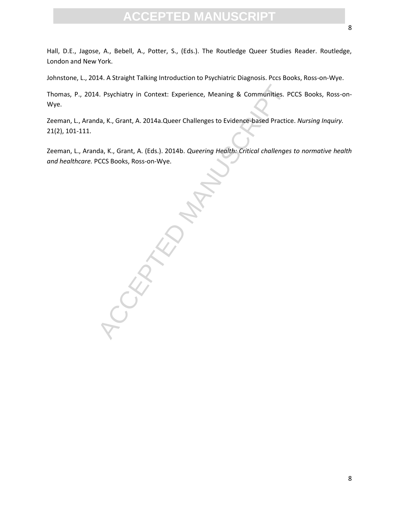Hall, D.E., Jagose, A., Bebell, A., Potter, S., (Eds.). The Routledge Queer Studies Reader. Routledge, London and New York.

Johnstone, L., 2014. A Straight Talking Introduction to Psychiatric Diagnosis. Pccs Books, Ross-on-Wye.

Thomas, P., 2014. Psychiatry in Context: Experience, Meaning & Communities. PCCS Books, Ross-on-Wye.

Zeeman, L., Aranda, K., Grant, A. 2014a.Queer Challenges to Evidence-based Practice. *Nursing Inquiry.*  21(2), 101-111.

Zeeman, L., Aranda, K., Grant, A. (Eds.). 2014b. *Queering Health: Critical challenges to normative health and healthcare.* PCCS Books, Ross-on-Wye.

CCEPTED MANUSCRIPT